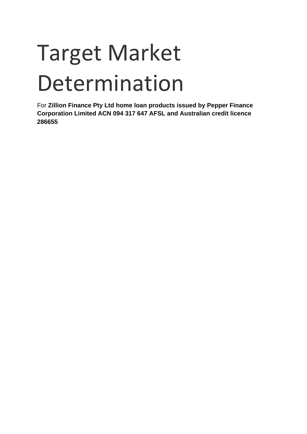# Target Market Determination

For **Zillion Finance Pty Ltd home loan products issued by Pepper Finance Corporation Limited ACN 094 317 647 AFSL and Australian credit licence 286655**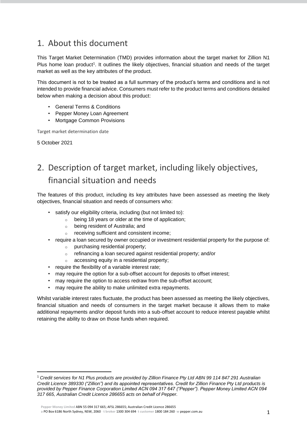## 1. About this document

This Target Market Determination (TMD) provides information about the target market for Zillion N1 Plus home loan product<sup>1</sup>. It outlines the likely objectives, financial situation and needs of the target market as well as the key attributes of the product.

This document is not to be treated as a full summary of the product's terms and conditions and is not intended to provide financial advice. Consumers must refer to the product terms and conditions detailed below when making a decision about this product:

- General Terms & Conditions
- Pepper Money Loan Agreement
- Mortgage Common Provisions

Target market determination date

5 October 2021

## 2. Description of target market, including likely objectives, financial situation and needs

The features of this product, including its key attributes have been assessed as meeting the likely objectives, financial situation and needs of consumers who:

- satisfy our eligibility criteria, including (but not limited to):
	- $\circ$  being 18 years or older at the time of application:
	- o being resident of Australia; and
	- o receiving sufficient and consistent income;
- require a loan secured by owner occupied or investment residential property for the purpose of:
	- purchasing residential property;
	- o refinancing a loan secured against residential property; and/or
	- o accessing equity in a residential property;
- require the flexibility of a variable interest rate;
- may require the option for a sub-offset account for deposits to offset interest;
- may require the option to access redraw from the sub-offset account;
- may require the ability to make unlimited extra repayments.

Whilst variable interest rates fluctuate, the product has been assessed as meeting the likely objectives, financial situation and needs of consumers in the target market because it allows them to make additional repayments and/or deposit funds into a sub-offset account to reduce interest payable whilst retaining the ability to draw on those funds when required.

**Pepper Money Limited** ABN 55 094 317 665; AFSL 286655; Australian Credit Licence 286655

<sup>1</sup> *Credit services for N1 Plus products are provided by Zillion Finance Pty Ltd ABN 99 114 847 291 Australian Credit Licence 389330 ("Zillion") and its appointed representatives. Credit for Zillion Finance Pty Ltd products is provided by Pepper Finance Corporation Limited ACN 094 317 647 ("Pepper"). Pepper Money Limited ACN 094 317 665, Australian Credit Licence 286655 acts on behalf of Pepper.*

**a** PO Box 6186 North Sydney, NSW, 2060 · **t broker** 1300 304 694· **t customer** 1800 184 260· **w** pepper.com.au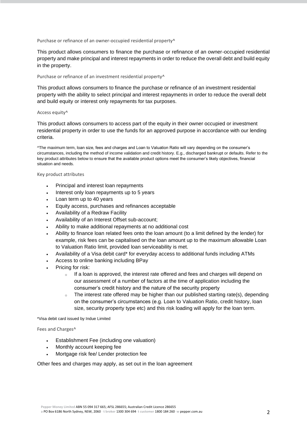Purchase or refinance of an owner-occupied residential property^

This product allows consumers to finance the purchase or refinance of an owner-occupied residential property and make principal and interest repayments in order to reduce the overall debt and build equity in the property.

#### Purchase or refinance of an investment residential property^

This product allows consumers to finance the purchase or refinance of an investment residential property with the ability to select principal and interest repayments in order to reduce the overall debt and build equity or interest only repayments for tax purposes.

#### Access equity^

This product allows consumers to access part of the equity in their owner occupied or investment residential property in order to use the funds for an approved purpose in accordance with our lending criteria.

^The maximum term, loan size, fees and charges and Loan to Valuation Ratio will vary depending on the consumer's circumstances, including the method of income validation and credit history. E.g., discharged bankrupt or defaults. Refer to the key product attributes below to ensure that the available product options meet the consumer's likely objectives, financial situation and needs.

Key product attributes

- Principal and interest loan repayments
- Interest only loan repayments up to 5 years
- Loan term up to 40 years
- Equity access, purchases and refinances acceptable
- Availability of a Redraw Facility
- Availability of an Interest Offset sub-account;
- Ability to make additional repayments at no additional cost
- Ability to finance loan related fees onto the loan amount (to a limit defined by the lender) for example, risk fees can be capitalised on the loan amount up to the maximum allowable Loan to Valuation Ratio limit, provided loan serviceability is met.
- Availability of a Visa debit card\* for everyday access to additional funds including ATMs
- Access to online banking including BPay
- Pricing for risk:
	- $\circ$  If a loan is approved, the interest rate offered and fees and charges will depend on our assessment of a number of factors at the time of application including the consumer's credit history and the nature of the security property
	- <sup>o</sup> The interest rate offered may be higher than our published starting rate(s), depending on the consumer's circumstances (e.g. Loan to Valuation Ratio, credit history, loan size, security property type etc) and this risk loading will apply for the loan term.

\*Visa debit card issued by Indue Limited

Fees and Charges^

- Establishment Fee (including one valuation)
- Monthly account keeping fee
- Mortgage risk fee/ Lender protection fee

Other fees and charges may apply, as set out in the loan agreement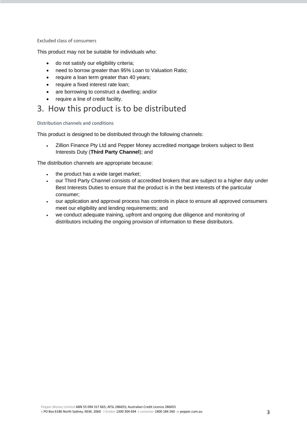#### Excluded class of consumers

This product may not be suitable for individuals who:

- do not satisfy our eligibility criteria;
- need to borrow greater than 95% Loan to Valuation Ratio;
- require a loan term greater than 40 years;
- require a fixed interest rate loan;
- are borrowing to construct a dwelling; and/or
- require a line of credit facility.

### 3. How this product is to be distributed

Distribution channels and conditions

This product is designed to be distributed through the following channels:

• Zillion Finance Pty Ltd and Pepper Money accredited mortgage brokers subject to Best Interests Duty (**Third Party Channel**); and

The distribution channels are appropriate because:

- the product has a wide target market;
- our Third Party Channel consists of accredited brokers that are subject to a higher duty under Best Interests Duties to ensure that the product is in the best interests of the particular consumer;
- our application and approval process has controls in place to ensure all approved consumers meet our eligibility and lending requirements; and
- we conduct adequate training, upfront and ongoing due diligence and monitoring of distributors including the ongoing provision of information to these distributors.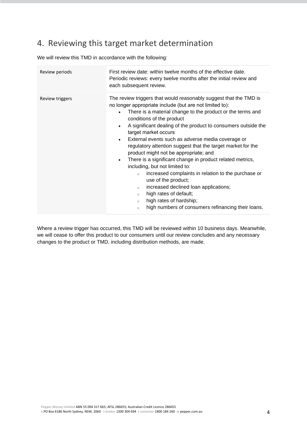## 4. Reviewing this target market determination

We will review this TMD in accordance with the following:

| Review periods  | First review date: within twelve months of the effective date.<br>Periodic reviews: every twelve months after the initial review and<br>each subsequent review.                                                                                                                                                                                                                                                                                                                                                                                                                                                                                                                                                                                                                                                                                                                                                           |
|-----------------|---------------------------------------------------------------------------------------------------------------------------------------------------------------------------------------------------------------------------------------------------------------------------------------------------------------------------------------------------------------------------------------------------------------------------------------------------------------------------------------------------------------------------------------------------------------------------------------------------------------------------------------------------------------------------------------------------------------------------------------------------------------------------------------------------------------------------------------------------------------------------------------------------------------------------|
| Review triggers | The review triggers that would reasonably suggest that the TMD is<br>no longer appropriate include (but are not limited to):<br>There is a material change to the product or the terms and<br>$\bullet$<br>conditions of the product<br>A significant dealing of the product to consumers outside the<br>$\bullet$<br>target market occurs<br>External events such as adverse media coverage or<br>$\bullet$<br>regulatory attention suggest that the target market for the<br>product might not be appropriate; and<br>There is a significant change in product related metrics,<br>$\bullet$<br>including, but not limited to:<br>increased complaints in relation to the purchase or<br>$\circ$<br>use of the product;<br>increased declined loan applications;<br>$\circ$<br>high rates of default;<br>$\circ$<br>high rates of hardship;<br>$\circ$<br>high numbers of consumers refinancing their loans.<br>$\circ$ |
|                 |                                                                                                                                                                                                                                                                                                                                                                                                                                                                                                                                                                                                                                                                                                                                                                                                                                                                                                                           |

Where a review trigger has occurred, this TMD will be reviewed within 10 business days. Meanwhile, we will cease to offer this product to our consumers until our review concludes and any necessary changes to the product or TMD, including distribution methods, are made.